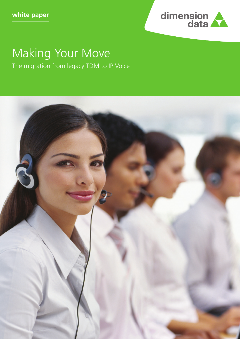

# Making Your Move The migration from legacy TDM to IP Voice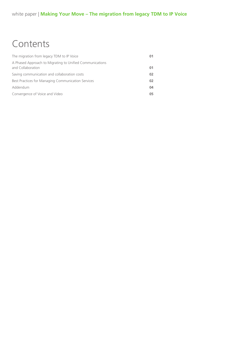# **Contents**

| The migration from legacy TDM to IP Voice                                     | 01 |
|-------------------------------------------------------------------------------|----|
| A Phased Approach to Migrating to Unified Communications<br>and Collaboration | 01 |
| Saving communication and collaboration costs                                  | 02 |
| Best Practices for Managing Communication Services                            | 02 |
| Addendum                                                                      | 04 |
| Convergence of Voice and Video                                                | 05 |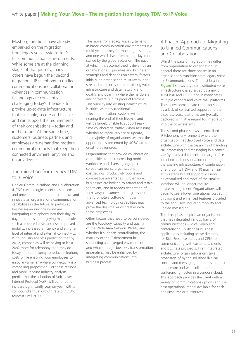Most organisations have already embarked on the migration from legacy voice systems to IP telecommunications environments. While some are at the planning stages of that journey, many others have begun their second migration – IP telephony to unified communications and collaboration. Advances in communication technology are constantly challenging today's IT leaders to provide up-to-date infrastructure that is reliable, secure and flexible and can support the requirements of their organisations – today and in the future. At the same time, customers, business partners and employees are demanding modern communication tools that keep them connected anywhere, anytime and on any device.

# The migration from legacy TDM to IP Voice

Unified Communications and Collaboration (UC&C) technologies meet these needs and provide the foundation to improve and innovate an organisation's communication capabilities in the future. In particular, businesses around the world are integrating IP telephony into their day-today operations and enjoying major results such as reduced costs and risk, improved mobility, increased efficiency and a higher level of internal and external connectivity. With industry analysts predicting that by 2012, companies will be paying at least 20% more for telephony than they do today, the opportunity to reduce telephony costs while enabling your employees to enjoy anytime, anywhere connectivity is a compelling proposition. For these reasons and more, leading industry analysts predict that the adoption of Voice over Internet Protocol (VoIP) will continue to increase significantly year-on-year, with a compound annual growth rate of 17.3% forecast until 2013.

The move from legacy voice systems to IP-based communication environments is a multi-year journey for most organisations, and one which has often been delayed or stalled by the global recession. The pace at which it is accomplished is driven by an organisation's IT priorities and business strategies and depends on several factors. Initially, an organisation must review the size and complexity of their existing voice infrastructure and data network and qualify and quantify where the hardware and software is in its product lifecycle. This visibility into existing infrastructure is critical as many traditional telecommunications systems will be nearing the end of their lifecycle and will be largely unable to support realtime collaborative traffic. When assessing whether to repair, replace or update, the majority of organisations see that the opportunities presented by UC&C are too great to be ignored.

Organisations that provide collaboration capabilities to their increasing mobile workforce and diverse geographic spread can realise organisational cost savings, productivity boons and competitive advantages. Furthermore, businesses are looking to attract and retain top talent, and in today's generation of tech savvy consumers, the organisations that promote a culture of modern, advanced technology capabilities may prove the deal-maker or breaker with these employees.

Other factors that need to be considered are the topology, capacity and quality of the Wide Area Network (WAN) and whether it supports centralisation, the maturity of the IT department in supporting a converged environment, and what strategic business transformation imperatives may be enhanced by integrating communications into business process.

# A Phased Approach to Migrating to Unified Communications and Collaboration

Whilst the pace of migration may differ from organisation to organisation, in general there are three phases in an organisation's transition from legacy voice to IP communications. The first box in **Figure 1** shows a typical distributed voice infrastructure characterised by a mix of TDM PBX and IP PBX and in many cases multiple vendors and voice mail platforms. These environments are characterised by a lack of centralised support and the disparate voice platforms are typically deployed with little regard for integration into the other systems.

The second phase shows a centralised IP telephony environment where the organisation has deployed voice and data architecture with the capability of handling call processing and messaging in a central site (typically a data centre or large office location) and consolidation or updating of the existing infrastructure. A combination of end points (TDM and IP) may remain at this stage but all support will now be centralised and most of the smaller locations will no longer require onsite management. Organisations will begin to see a lower operational cost at this point and enhanced features provided to the end users including mobility and unified messaging.

The third phase depicts an organisation that has integrated various forms of communications – voice, video and conferencing – with their business applications including active directory for Rich Presence status and CRM for communicating with customers, clients and business prospects. In an integrated architecture, organisations can take advantage of hybrid solutions like call control and messaging on premise in their data centre and web collaboration and conferencing hosted in a vendor's cloud. This approach provides the client with a variety of communications options and the best operational model available for each one (insource or outsource).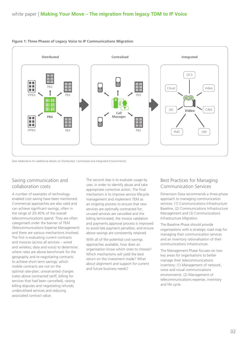

#### **Figure 1: Three Phases of Legacy Voice to IP Communications Migration**

[See Addendum for additional details on Distributed, Centralised and Integrated Environments]

# Saving communication and collaboration costs

A number of examples of technologyenabled cost saving have been mentioned. Commercial approaches are also valid and can achieve significant savings, often in the range of 20-30% of the overall telecommunications spend. They are often categorised under the banner of TEM (Telecommunications Expense Management) and there are various mechanisms involved. The first is evaluating current contracts and invoices (across all services – wired and wireless; data and voice) to determine: where rates are above benchmark for the geography and re-negotiating contracts to achieve short term savings; which mobile contracts are not on the optimal rate-plan; unwarranted charges (rates above contracted tariff, billing for services that had been cancelled), raising billing disputes and negotiating refunds; underutilised services and reducing associated contract value.

The second step is to evaluate usage by user, in order to identify abuse and take appropriate corrective action. The final mechanism is to improve service lifecycle management and implement TEM as an ongoing process to ensure that new services are optimally contracted for; unused services are cancelled and the billing terminated; the invoice validation and payments approval process is improved to avoid late payment penalties; and ensure above savings are consistently retained.

With all of the potential cost-savings approaches available, how does an organisation know which ones to choose? Which mechanisms will yield the best return on the investment made? What about alignment and support for current and future business needs?

# Best Practices for Managing Communication Services

Dimension Data recommends a three-phase approach to managing communication services: (1) Communications Infrastructure Baseline, (2) Communications Infrastructure Management and (3) Communications Infrastructure Migration.

The Baseline Phase should provide organisations with a strategic road map for managing their communication services and an inventory rationalisation of their communications infrastructure.

The Management Phase focuses on two key areas for organisations to better manage their telecommunications inventory: (1) Management of network, voice and visual communications environments. (2) Management of telecommunications expense, inventory and life cycle.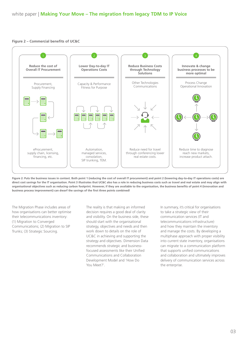#### **Figure 2 – Commercial benefits of UC&C**





The Migration Phase includes areas of how organisations can better optimise their telecommunications inventory: (1) Migration to Converged Communications; (2) Migration to SIP Trunks; (3) Strategic Sourcing.

The reality is that making an informed decision requires a good deal of clarity and visibility. On the business side, these should start with the organisational strategy, objectives and needs and then work down to details on the role of UC&C in achieving and supporting the strategy and objectives. Dimension Data recommends strategic and businessfocused assessments like their Unified Communications and Collaboration Development Model and 'How Do You Meet?'.

In summary, it's critical for organisations to take a strategic view of their communication services (IT and telecommunications infrastructure) and how they maintain the inventory and manage the costs. By developing a multiphase approach with proper visibility into current state inventory, organisations can migrate to a communication platform that supports unified communications and collaboration and ultimately improves delivery of communication services across the enterprise.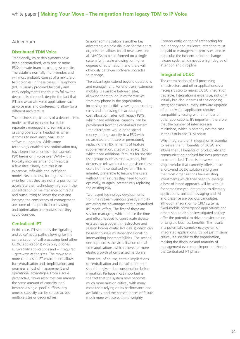## Addendum

### **Distributed TDM Voice**

Traditionally, voice deployments have been decentralised, with one or more PBXs (private branch exchanges) per site. The estate is normally multi-vendor, and will most probably consist of a mixture of technologies. In these cases, IP Telephony (IPT) is usually procured tactically and early deployments continue to follow the decentralised model, despite the fact that IPT and associate voice applications such as voice mail and conferencing allow for a different architecture.

The business implications of a decentralised model are that every site has to be separately managed and administered, causing operational headaches when it comes to new users, MACDs or software upgrades. While some technology-enabled cost optimisation may have been implemented – for example, PBX tie-ins or IP voice over WAN – it is typically inconsistent and only across a few sites. Simply put, this is an expensive, inflexible and inefficient model. Nevertheless, for organisations who feel that they are not in a position to accelerate their technology migration, the consolidation of maintenance contracts and outsourcing to lower the cost and increase the consistency of management are some of the practical cost saving and optimisation alternatives that they could consider.

### **Centralised IPT**

In this case, IPT separates the signalling and voice/media paths allowing for the centralisation of call processing (and other UC&C applications) with only phones, survivability applications and – if required – gateways at the sites. The move to a more centralised IPT environment allows for centralisation and simplification, and promises a host of management and operational advantages. From a scale perspective, fewer resources can manage the same amount of capacity, and because a single 'pool' suffices, any unused capacity can be spread across multiple sites or geographies.

Simpler administration is another key advantage; a single dial plan for the entire organisation allows for all new users and all MACDs to be performed on a single system (with scale allowing for higher degrees of automation), and there will obviously be fewer software upgrades to manage.

The advantages extend beyond operations and management. For end-users, extension mobility is available between sites, allowing them to log in as themselves from any phone in the organisation, increasing contactibility, saving on roaming costs and improving the accuracy of cost allocation. Sites with legacy PBXs, which need additional capacity, can be provisioned from the centralised system - the alternative would be to spend money adding capacity to a PBX with no architectural future or prematurely replacing the PBX. In terms of feature supplementation, sites with legacy PBXs which need additional features for specific user groups (such as road warriors, hotdeskers or teleworkers) can provision these users from a centralised system. This is infinitely preferable to leaving the users without the features they need to work optimally, or again, prematurely replacing the existing PBX.

Two recent technology developments from mainstream vendors greatly simplify achieving the advantages that a centralised IPT model offers. The first of these are session managers, which reduce the time and effort needed to consolidate diverse estates into a cogent infrastructure and session border controllers (SBCs) which can be used to solve multi-vendor signalling interworking incompatibilities. The second development is the virtualisation of realtime applications, which allows for more elastic growth of centralised hardware.

There are, of course, certain implications of centralisation and consolidation that should be given due consideration before migration. Perhaps most important is the fact that the system now becomes much more mission critical, with many more users relying on its performance and availability, and the consequences of failure much more widespread and weighty.

Consequently, on top of architecting for redundancy and resilience, attention must be paid to management processes, and in particular the incident-problem-changerelease cycle, which needs a high degree of attention and discipline.

## **Integrated UC&C**

The centralisation of call processing infrastructure and other applications is a necessary step to makes UC&C integration tractable. Integration is expensive, not only initially but also in terms of the ongoing costs; for example, every software upgrade of an individual application requires compatibility testing with a number of other applications. It's important, therefore, that the number of interfaces are minimised, which is patently not the case in the Distributed TDM phase

Why integrate then? Integration is essential to realise the full benefits of UC&C and allows the full benefits of productivity and communication-enabled business processes to be unlocked. There is, however, no single vendor that currently offers a true end-to-end UC&C solution and given that most organsiations have existing investments which they need to leverage, a best-of-breed approach will be with us for some time yet. Integration to directory applications, unified messaging and IM and presence are obvious candidates, although integration to CRM systems, fixed-mobile convergence applications and others should also be investigated as they offer the potential to drive transformation or tangible business benefits. This results in a potentially complex eco-system of integrated applications. It's not just mission critical, it's specific to the organisation, making the discipline and maturity of management even more important than in the Centralised IPT phase.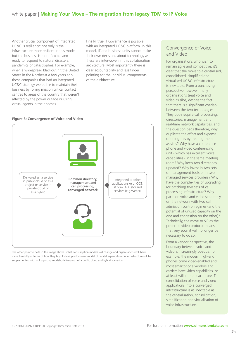# white paper | **Making Your Move – The migration from legacy TDM to IP Voice**

Another crucial component of integrated UC&C is resiliency; not only is the infrastructure more resilient in this model but the business is more flexible and ready to respond to natural disasters, pandemics or catastrophes. For example, when a widespread blackout hit the United States in the Northeast a few years ago, those companies that had an integrated UC&C strategy were able to maintain their business by rolling mission critical contact centres to areas of the country that weren't affected by the power outage or using virtual agents in their homes.

Finally, true IT Governance is possible with an integrated UC&C platform. In this model, IT and business units cannot make their own decisions about technology as these are interwoven in this collaboration architecture. Most importantly there is clear accountability and less finger pointing for the individual components of the architecture.

#### **Figure 3: Convergence of Voice and Video**



The other point to note in the image above is that consumption models will change and organisations will have more flexibility in terms of how they buy. Today's predominant model of capital expenditure on infrastructure will be supplemented with utility pricing models, delivery out of a public cloud and hybrid scenarios.

## Convergence of Voice and Video

For organisations who wish to remain agile and competitive, it's clear that the move to a centralised, consolidated, simplified and virtualised UC&C infrastructure is inevitable. From a purchasing perspective however, many organisations treat voice and video as silos, despite the fact that there is a significant overlap between the two technologies. They both require call processing, directories, management and real-time network capabilities, and the question begs therefore, why duplicate the effort and expense of doing this by treating them as silos? Why have a conference phone and video conferencing unit - which has excellent voice capabilities - in the same meeting room? Why keep two directories updated? Why invest in two sets of management tools or in two managed services providers? Why have the complexities of upgrading (or patching) two sets of call processing infrastructure? Why partition voice and video separately on the network with two call admission control regimes (and the potential of unused capacity on the one and congestion on the other)? Technically, the move to SIP as the preferred video protocol means that very soon it will no longer be necessary to do so.

From a vendor perspective, the boundary between voice and video is increasingly opaque; for example, the modern high-end phones come video-enabled and most smartphone vendors and carriers have video capabilities, or at least will in the near future. The consolidation of voice and video applications into a converged infrastructure is as inevitable as the centralisation, consolidation, simplification and virtualisation of voice infrastructure.